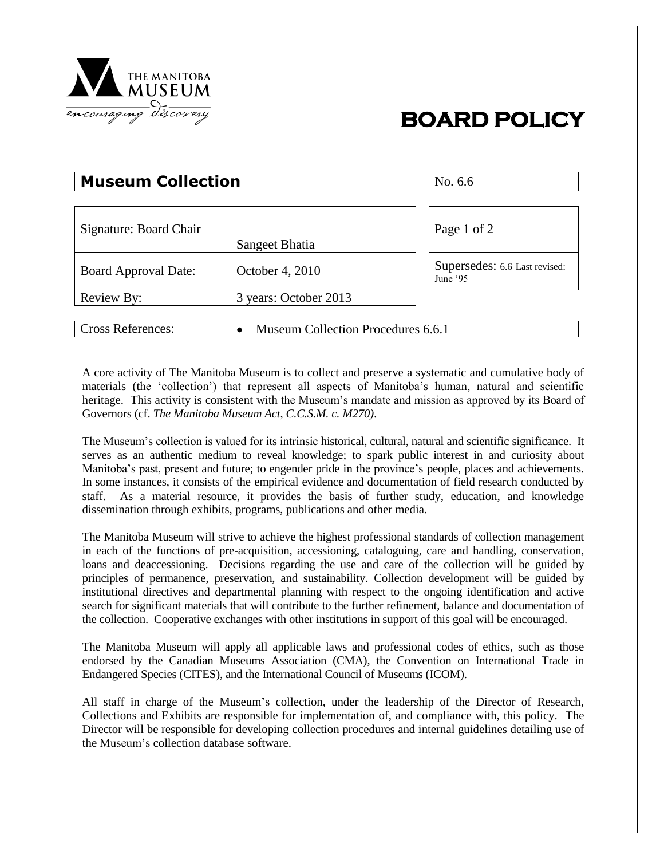

## **BOARD POLICY**

## **Museum Collection**  $\vert$  No. 6.6

| Signature: Board Chair      |                                    | Page 1 of 2                               |
|-----------------------------|------------------------------------|-------------------------------------------|
|                             | Sangeet Bhatia                     |                                           |
| <b>Board Approval Date:</b> | October 4, 2010                    | Supersedes: 6.6 Last revised:<br>June '95 |
| Review By:                  | 3 years: October 2013              |                                           |
|                             |                                    |                                           |
| <b>Cross References:</b>    | Museum Collection Procedures 6.6.1 |                                           |

A core activity of The Manitoba Museum is to collect and preserve a systematic and cumulative body of materials (the 'collection') that represent all aspects of Manitoba's human, natural and scientific heritage. This activity is consistent with the Museum's mandate and mission as approved by its Board of Governors (cf. *The Manitoba Museum Act*, *C.C.S.M. c. M270)*.

The Museum's collection is valued for its intrinsic historical, cultural, natural and scientific significance. It serves as an authentic medium to reveal knowledge; to spark public interest in and curiosity about Manitoba's past, present and future; to engender pride in the province's people, places and achievements. In some instances, it consists of the empirical evidence and documentation of field research conducted by staff. As a material resource, it provides the basis of further study, education, and knowledge dissemination through exhibits, programs, publications and other media.

The Manitoba Museum will strive to achieve the highest professional standards of collection management in each of the functions of pre-acquisition, accessioning, cataloguing, care and handling, conservation, loans and deaccessioning. Decisions regarding the use and care of the collection will be guided by principles of permanence, preservation, and sustainability. Collection development will be guided by institutional directives and departmental planning with respect to the ongoing identification and active search for significant materials that will contribute to the further refinement, balance and documentation of the collection. Cooperative exchanges with other institutions in support of this goal will be encouraged.

The Manitoba Museum will apply all applicable laws and professional codes of ethics, such as those endorsed by the Canadian Museums Association (CMA), the Convention on International Trade in Endangered Species (CITES), and the International Council of Museums (ICOM).

All staff in charge of the Museum's collection, under the leadership of the Director of Research, Collections and Exhibits are responsible for implementation of, and compliance with, this policy. The Director will be responsible for developing collection procedures and internal guidelines detailing use of the Museum's collection database software.